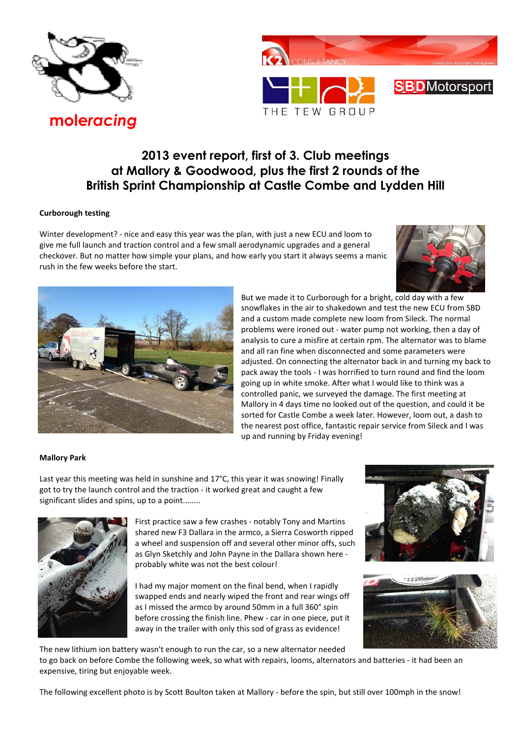

**SBD**Motorsport THE TEW GROUP

# **2013 event report, first of 3. Club meetings at Mallory & Goodwood, plus the first 2 rounds of the British Sprint Championship at Castle Combe and Lydden Hill**

# **Curborough testing**

Winter development? - nice and easy this year was the plan, with just a new ECU and loom to give me full launch and traction control and a few small aerodynamic upgrades and a general checkover. But no matter how simple your plans, and how early you start it always seems a manic rush in the few weeks before the start.





But we made it to Curborough for a bright, cold day with a few snowflakes in the air to shakedown and test the new ECU from SBD and a custom made complete new loom from Sileck. The normal problems were ironed out - water pump not working, then a day of analysis to cure a misfire at certain rpm. The alternator was to blame and all ran fine when disconnected and some parameters were adjusted. On connecting the alternator back in and turning my back to pack away the tools - I was horrified to turn round and find the loom going up in white smoke. After what I would like to think was a controlled panic, we surveyed the damage. The first meeting at Mallory in 4 days time no looked out of the question, and could it be sorted for Castle Combe a week later. However, loom out, a dash to the nearest post office, fantastic repair service from Sileck and I was up and running by Friday evening!

# **Mallory Park**

Last year this meeting was held in sunshine and 17°C, this year it was snowing! Finally got to try the launch control and the traction - it worked great and caught a few significant slides and spins, up to a point........



First practice saw a few crashes - notably Tony and Martins shared new F3 Dallara in the armco, a Sierra Cosworth ripped a wheel and suspension off and several other minor offs, such as Glyn Sketchly and John Payne in the Dallara shown here probably white was not the best colour!

I had my major moment on the final bend, when I rapidly swapped ends and nearly wiped the front and rear wings off as I missed the armco by around 50mm in a full 360° spin before crossing the finish line. Phew - car in one piece, put it away in the trailer with only this sod of grass as evidence!





The new lithium ion battery wasn't enough to run the car, so a new alternator needed

to go back on before Combe the following week, so what with repairs, looms, alternators and batteries - it had been an expensive, tiring but enjoyable week.

The following excellent photo is by Scott Boulton taken at Mallory - before the spin, but still over 100mph in the snow!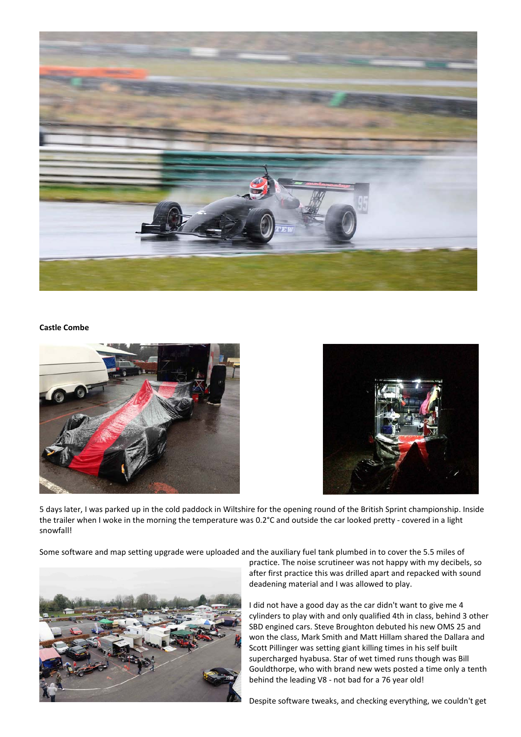

# **Castle Combe**





5 days later, I was parked up in the cold paddock in Wiltshire for the opening round of the British Sprint championship. Inside the trailer when I woke in the morning the temperature was 0.2°C and outside the car looked pretty - covered in a light snowfall!

Some software and map setting upgrade were uploaded and the auxiliary fuel tank plumbed in to cover the 5.5 miles of



practice. The noise scrutineer was not happy with my decibels, so after first practice this was drilled apart and repacked with sound deadening material and I was allowed to play.

I did not have a good day as the car didn't want to give me 4 cylinders to play with and only qualified 4th in class, behind 3 other SBD engined cars. Steve Broughton debuted his new OMS 25 and won the class, Mark Smith and Matt Hillam shared the Dallara and Scott Pillinger was setting giant killing times in his self built supercharged hyabusa. Star of wet timed runs though was Bill Gouldthorpe, who with brand new wets posted a time only a tenth behind the leading V8 - not bad for a 76 year old!

Despite software tweaks, and checking everything, we couldn't get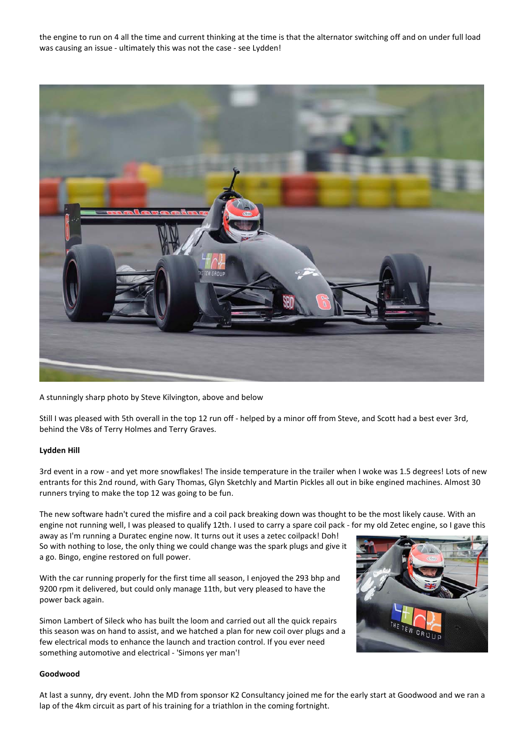the engine to run on 4 all the time and current thinking at the time is that the alternator switching off and on under full load was causing an issue - ultimately this was not the case - see Lydden!



A stunningly sharp photo by Steve Kilvington, above and below

Still I was pleased with 5th overall in the top 12 run off - helped by a minor off from Steve, and Scott had a best ever 3rd, behind the V8s of Terry Holmes and Terry Graves.

#### **Lydden Hill**

3rd event in a row - and yet more snowflakes! The inside temperature in the trailer when I woke was 1.5 degrees! Lots of new entrants for this 2nd round, with Gary Thomas, Glyn Sketchly and Martin Pickles all out in bike engined machines. Almost 30 runners trying to make the top 12 was going to be fun.

The new software hadn't cured the misfire and a coil pack breaking down was thought to be the most likely cause. With an engine not running well, I was pleased to qualify 12th. I used to carry a spare coil pack - for my old Zetec engine, so I gave this

away as I'm running a Duratec engine now. It turns out it uses a zetec coilpack! Doh! So with nothing to lose, the only thing we could change was the spark plugs and give it a go. Bingo, engine restored on full power.

With the car running properly for the first time all season, I enjoyed the 293 bhp and 9200 rpm it delivered, but could only manage 11th, but very pleased to have the power back again.

Simon Lambert of Sileck who has built the loom and carried out all the quick repairs this season was on hand to assist, and we hatched a plan for new coil over plugs and a few electrical mods to enhance the launch and traction control. If you ever need something automotive and electrical - 'Simons yer man'!



### **Goodwood**

At last a sunny, dry event. John the MD from sponsor K2 Consultancy joined me for the early start at Goodwood and we ran a lap of the 4km circuit as part of his training for a triathlon in the coming fortnight.